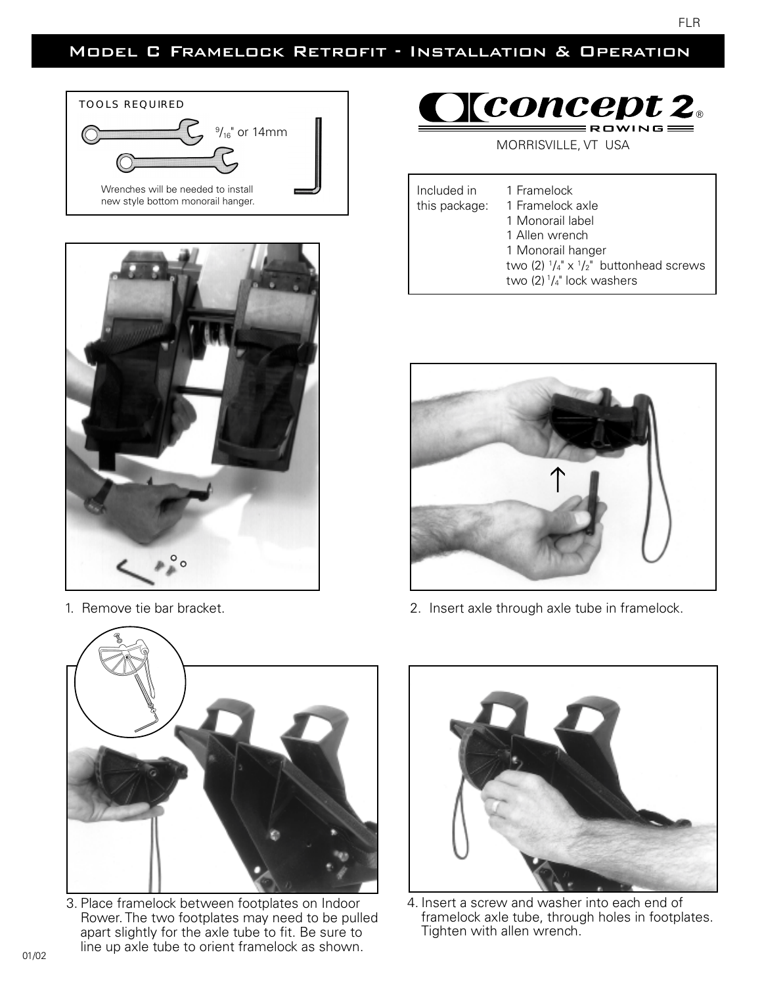## Model C Framelock Retrofit - Installation & Operation





## $\underline{\textbf{Cone}}$  pt 2

MORRISVILLE, VT USA

Included in 1 Framelock this package: 1 Framelock axle 1 Monorail label 1 Allen wrench 1 Monorail hanger two (2)  $1/4$ " x  $1/2$ " buttonhead screws two  $(2)$   $1/4$ " lock washers



1. Remove tie bar bracket. **2. Insert axle through axle tube in framelock**.



3. Place framelock between footplates on Indoor Rower. The two footplates may need to be pulled apart slightly for the axle tube to fit. Be sure to line up axle tube to orient framelock as shown.



4. Insert a screw and washer into each end of framelock axle tube, through holes in footplates. Tighten with allen wrench.